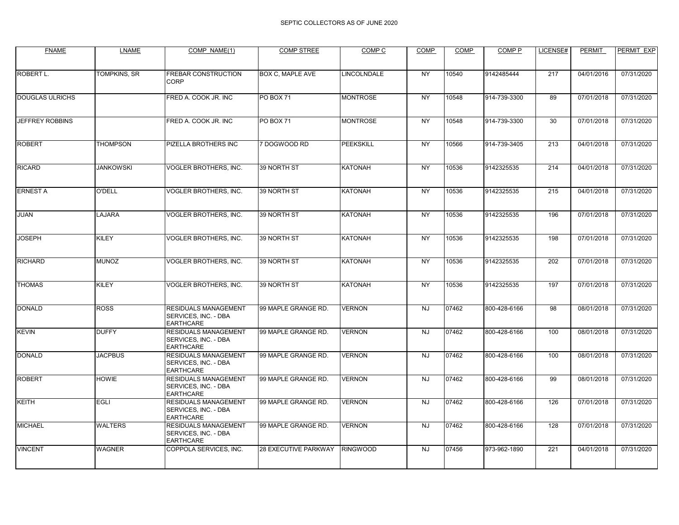| <b>FNAME</b>           | <b>LNAME</b>     | COMP NAME(1)                                                     | <b>COMP STREE</b>           | COMP <sub>C</sub> | <b>COMP</b> | <b>COMP</b> | COMP <sub>P</sub> | LICENSE# | <b>PERMIT</b> | PERMIT EXP |
|------------------------|------------------|------------------------------------------------------------------|-----------------------------|-------------------|-------------|-------------|-------------------|----------|---------------|------------|
|                        |                  |                                                                  |                             |                   |             |             |                   |          |               |            |
| ROBERT L.              | TOMPKINS, SR     | FREBAR CONSTRUCTION<br>CORP                                      | <b>BOX C, MAPLE AVE</b>     | LINCOLNDALE       | <b>NY</b>   | 10540       | 9142485444        | 217      | 04/01/2016    | 07/31/2020 |
| <b>DOUGLAS ULRICHS</b> |                  | FRED A. COOK JR. INC                                             | PO BOX 71                   | <b>MONTROSE</b>   | <b>NY</b>   | 10548       | 914-739-3300      | 89       | 07/01/2018    | 07/31/2020 |
| <b>JEFFREY ROBBINS</b> |                  | FRED A. COOK JR. INC                                             | <b>PO BOX 71</b>            | <b>MONTROSE</b>   | <b>NY</b>   | 10548       | 914-739-3300      | 30       | 07/01/2018    | 07/31/2020 |
| <b>ROBERT</b>          | <b>THOMPSON</b>  | PIZELLA BROTHERS INC                                             | 7 DOGWOOD RD                | PEEKSKILL         | <b>NY</b>   | 10566       | 914-739-3405      | 213      | 04/01/2018    | 07/31/2020 |
| <b>RICARD</b>          | <b>JANKOWSKI</b> | VOGLER BROTHERS, INC.                                            | 39 NORTH ST                 | <b>KATONAH</b>    | <b>NY</b>   | 10536       | 9142325535        | 214      | 04/01/2018    | 07/31/2020 |
| <b>ERNEST A</b>        | O'DELL           | VOGLER BROTHERS, INC.                                            | 39 NORTH ST                 | <b>KATONAH</b>    | <b>NY</b>   | 10536       | 9142325535        | 215      | 04/01/2018    | 07/31/2020 |
| <b>JUAN</b>            | LAJARA           | VOGLER BROTHERS, INC.                                            | 39 NORTH ST                 | <b>KATONAH</b>    | <b>NY</b>   | 10536       | 9142325535        | 196      | 07/01/2018    | 07/31/2020 |
| <b>JOSEPH</b>          | <b>KILEY</b>     | VOGLER BROTHERS, INC.                                            | 39 NORTH ST                 | <b>KATONAH</b>    | <b>NY</b>   | 10536       | 9142325535        | 198      | 07/01/2018    | 07/31/2020 |
| <b>RICHARD</b>         | <b>MUNOZ</b>     | VOGLER BROTHERS, INC.                                            | 39 NORTH ST                 | <b>KATONAH</b>    | <b>NY</b>   | 10536       | 9142325535        | 202      | 07/01/2018    | 07/31/2020 |
| <b>THOMAS</b>          | <b>KILEY</b>     | VOGLER BROTHERS, INC.                                            | 39 NORTH ST                 | <b>KATONAH</b>    | <b>NY</b>   | 10536       | 9142325535        | 197      | 07/01/2018    | 07/31/2020 |
| <b>DONALD</b>          | <b>ROSS</b>      | RESIDUALS MANAGEMENT<br>SERVICES, INC. - DBA<br><b>EARTHCARE</b> | 99 MAPLE GRANGE RD.         | <b>VERNON</b>     | <b>NJ</b>   | 07462       | 800-428-6166      | 98       | 08/01/2018    | 07/31/2020 |
| <b>KEVIN</b>           | <b>DUFFY</b>     | RESIDUALS MANAGEMENT<br>SERVICES, INC. - DBA<br><b>EARTHCARE</b> | 99 MAPLE GRANGE RD.         | <b>VERNON</b>     | <b>NJ</b>   | 07462       | 800-428-6166      | 100      | 08/01/2018    | 07/31/2020 |
| <b>DONALD</b>          | <b>JACPBUS</b>   | RESIDUALS MANAGEMENT<br>SERVICES, INC. - DBA<br><b>EARTHCARE</b> | 99 MAPLE GRANGE RD.         | <b>VERNON</b>     | <b>NJ</b>   | 07462       | 800-428-6166      | 100      | 08/01/2018    | 07/31/2020 |
| <b>ROBERT</b>          | <b>HOWIE</b>     | RESIDUALS MANAGEMENT<br>SERVICES, INC. - DBA<br><b>EARTHCARE</b> | 99 MAPLE GRANGE RD.         | <b>VERNON</b>     | <b>NJ</b>   | 07462       | 800-428-6166      | 99       | 08/01/2018    | 07/31/2020 |
| <b>KEITH</b>           | <b>EGLI</b>      | RESIDUALS MANAGEMENT<br>SERVICES, INC. - DBA<br><b>EARTHCARE</b> | 99 MAPLE GRANGE RD.         | <b>VERNON</b>     | <b>NJ</b>   | 07462       | 800-428-6166      | 126      | 07/01/2018    | 07/31/2020 |
| <b>MICHAEL</b>         | <b>WALTERS</b>   | RESIDUALS MANAGEMENT<br>SERVICES, INC. - DBA<br><b>EARTHCARE</b> | 99 MAPLE GRANGE RD.         | <b>VERNON</b>     | <b>NJ</b>   | 07462       | 800-428-6166      | 128      | 07/01/2018    | 07/31/2020 |
| <b>VINCENT</b>         | <b>WAGNER</b>    | COPPOLA SERVICES, INC.                                           | <b>28 EXECUTIVE PARKWAY</b> | <b>RINGWOOD</b>   | <b>NJ</b>   | 07456       | 973-962-1890      | 221      | 04/01/2018    | 07/31/2020 |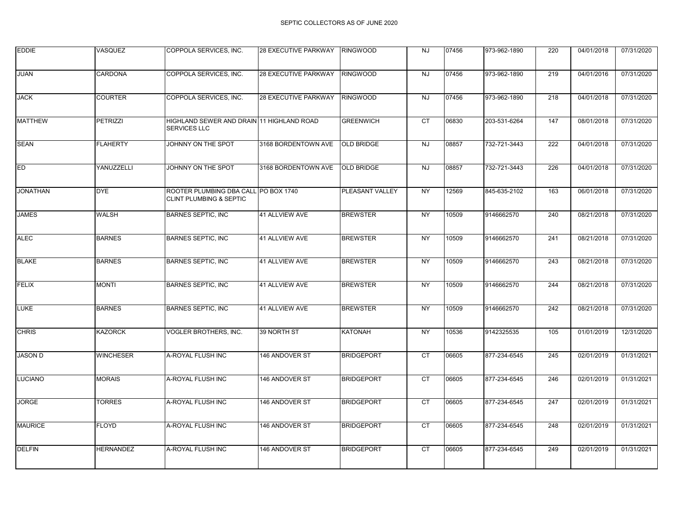| <b>EDDIE</b>    | VASQUEZ          | COPPOLA SERVICES, INC.                                                     | <b>28 EXECUTIVE PARKWAY</b> | <b>RINGWOOD</b>   | <b>NJ</b>       | 07456 | 973-962-1890 | 220 | 04/01/2018 | 07/31/2020 |
|-----------------|------------------|----------------------------------------------------------------------------|-----------------------------|-------------------|-----------------|-------|--------------|-----|------------|------------|
| JUAN            | CARDONA          | COPPOLA SERVICES, INC.                                                     | 28 EXECUTIVE PARKWAY        | <b>RINGWOOD</b>   | <b>NJ</b>       | 07456 | 973-962-1890 | 219 | 04/01/2016 | 07/31/2020 |
| <b>JACK</b>     | <b>COURTER</b>   | COPPOLA SERVICES, INC.                                                     | 28 EXECUTIVE PARKWAY        | <b>RINGWOOD</b>   | <b>NJ</b>       | 07456 | 973-962-1890 | 218 | 04/01/2018 | 07/31/2020 |
| <b>MATTHEW</b>  | <b>PETRIZZI</b>  | HIGHLAND SEWER AND DRAIN 11 HIGHLAND ROAD<br><b>SERVICES LLC</b>           |                             | <b>GREENWICH</b>  | <b>CT</b>       | 06830 | 203-531-6264 | 147 | 08/01/2018 | 07/31/2020 |
| <b>SEAN</b>     | <b>FLAHERTY</b>  | JOHNNY ON THE SPOT                                                         | 3168 BORDENTOWN AVE         | <b>OLD BRIDGE</b> | NJ              | 08857 | 732-721-3443 | 222 | 04/01/2018 | 07/31/2020 |
| <b>ED</b>       | YANUZZELLI       | JOHNNY ON THE SPOT                                                         | 3168 BORDENTOWN AVE         | <b>OLD BRIDGE</b> | <b>NJ</b>       | 08857 | 732-721-3443 | 226 | 04/01/2018 | 07/31/2020 |
| <b>JONATHAN</b> | <b>DYE</b>       | ROOTER PLUMBING DBA CALL PO BOX 1740<br><b>CLINT PLUMBING &amp; SEPTIC</b> |                             | PLEASANT VALLEY   | <b>NY</b>       | 12569 | 845-635-2102 | 163 | 06/01/2018 | 07/31/2020 |
| <b>JAMES</b>    | <b>WALSH</b>     | <b>BARNES SEPTIC, INC</b>                                                  | 41 ALLVIEW AVE              | <b>BREWSTER</b>   | <b>NY</b>       | 10509 | 9146662570   | 240 | 08/21/2018 | 07/31/2020 |
| <b>ALEC</b>     | <b>BARNES</b>    | <b>BARNES SEPTIC, INC</b>                                                  | 41 ALLVIEW AVE              | <b>BREWSTER</b>   | <b>NY</b>       | 10509 | 9146662570   | 241 | 08/21/2018 | 07/31/2020 |
| <b>BLAKE</b>    | <b>BARNES</b>    | <b>BARNES SEPTIC, INC</b>                                                  | 41 ALLVIEW AVE              | <b>BREWSTER</b>   | <b>NY</b>       | 10509 | 9146662570   | 243 | 08/21/2018 | 07/31/2020 |
| <b>FELIX</b>    | <b>MONTI</b>     | <b>BARNES SEPTIC, INC</b>                                                  | <b>41 ALLVIEW AVE</b>       | <b>BREWSTER</b>   | $\overline{NY}$ | 10509 | 9146662570   | 244 | 08/21/2018 | 07/31/2020 |
| LUKE            | <b>BARNES</b>    | <b>BARNES SEPTIC, INC</b>                                                  | 41 ALLVIEW AVE              | <b>BREWSTER</b>   | <b>NY</b>       | 10509 | 9146662570   | 242 | 08/21/2018 | 07/31/2020 |
| <b>CHRIS</b>    | <b>KAZORCK</b>   | <b>VOGLER BROTHERS, INC.</b>                                               | 39 NORTH ST                 | KATONAH           | <b>NY</b>       | 10536 | 9142325535   | 105 | 01/01/2019 | 12/31/2020 |
| <b>JASON D</b>  | <b>WINCHESER</b> | A-ROYAL FLUSH INC                                                          | 146 ANDOVER ST              | <b>BRIDGEPORT</b> | <b>CT</b>       | 06605 | 877-234-6545 | 245 | 02/01/2019 | 01/31/2021 |
| <b>LUCIANO</b>  | <b>MORAIS</b>    | A-ROYAL FLUSH INC                                                          | 146 ANDOVER ST              | <b>BRIDGEPORT</b> | <b>CT</b>       | 06605 | 877-234-6545 | 246 | 02/01/2019 | 01/31/2021 |
| <b>JORGE</b>    | <b>TORRES</b>    | A-ROYAL FLUSH INC                                                          | 146 ANDOVER ST              | <b>BRIDGEPORT</b> | <b>CT</b>       | 06605 | 877-234-6545 | 247 | 02/01/2019 | 01/31/2021 |
| <b>MAURICE</b>  | <b>FLOYD</b>     | A-ROYAL FLUSH INC                                                          | 146 ANDOVER ST              | <b>BRIDGEPORT</b> | <b>CT</b>       | 06605 | 877-234-6545 | 248 | 02/01/2019 | 01/31/2021 |
| <b>DELFIN</b>   | <b>HERNANDEZ</b> | A-ROYAL FLUSH INC                                                          | 146 ANDOVER ST              | <b>BRIDGEPORT</b> | CT              | 06605 | 877-234-6545 | 249 | 02/01/2019 | 01/31/2021 |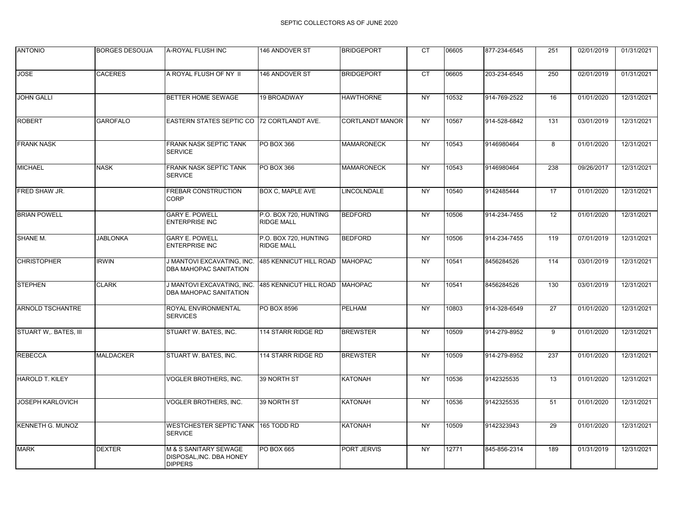| <b>ANTONIO</b>          | <b>BORGES DESOUJA</b> | A-ROYAL FLUSH INC                                                   | 146 ANDOVER ST                             | <b>BRIDGEPORT</b>      | <b>CT</b>       | 06605 | 877-234-6545 | 251 | 02/01/2019 | 01/31/2021 |
|-------------------------|-----------------------|---------------------------------------------------------------------|--------------------------------------------|------------------------|-----------------|-------|--------------|-----|------------|------------|
|                         |                       |                                                                     |                                            |                        |                 |       |              |     |            |            |
| <b>JOSE</b>             | <b>CACERES</b>        | A ROYAL FLUSH OF NY II                                              | 146 ANDOVER ST                             | <b>BRIDGEPORT</b>      | $\overline{CT}$ | 06605 | 203-234-6545 | 250 | 02/01/2019 | 01/31/2021 |
| <b>JOHN GALLI</b>       |                       | BETTER HOME SEWAGE                                                  | 19 BROADWAY                                | <b>HAWTHORNE</b>       | <b>NY</b>       | 10532 | 914-769-2522 | 16  | 01/01/2020 | 12/31/2021 |
| <b>ROBERT</b>           | <b>GAROFALO</b>       | EASTERN STATES SEPTIC CO 72 CORTLANDT AVE.                          |                                            | <b>CORTLANDT MANOR</b> | <b>NY</b>       | 10567 | 914-528-6842 | 131 | 03/01/2019 | 12/31/2021 |
| <b>FRANK NASK</b>       |                       | FRANK NASK SEPTIC TANK<br><b>SERVICE</b>                            | PO BOX 366                                 | <b>MAMARONECK</b>      | <b>NY</b>       | 10543 | 9146980464   | 8   | 01/01/2020 | 12/31/2021 |
| <b>MICHAEL</b>          | <b>NASK</b>           | FRANK NASK SEPTIC TANK<br><b>SERVICE</b>                            | PO BOX 366                                 | <b>MAMARONECK</b>      | <b>NY</b>       | 10543 | 9146980464   | 238 | 09/26/2017 | 12/31/2021 |
| FRED SHAW JR.           |                       | FREBAR CONSTRUCTION<br>CORP                                         | BOX C, MAPLE AVE                           | LINCOLNDALE            | <b>NY</b>       | 10540 | 9142485444   | 17  | 01/01/2020 | 12/31/2021 |
| <b>BRIAN POWELL</b>     |                       | <b>GARY E. POWELL</b><br>ENTERPRISE INC                             | P.O. BOX 720, HUNTING<br><b>RIDGE MALL</b> | <b>BEDFORD</b>         | <b>NY</b>       | 10506 | 914-234-7455 | 12  | 01/01/2020 | 12/31/2021 |
| SHANE M.                | <b>JABLONKA</b>       | <b>GARY E. POWELL</b><br><b>ENTERPRISE INC</b>                      | P.O. BOX 720, HUNTING<br><b>RIDGE MALL</b> | <b>BEDFORD</b>         | <b>NY</b>       | 10506 | 914-234-7455 | 119 | 07/01/2019 | 12/31/2021 |
| <b>CHRISTOPHER</b>      | <b>IRWIN</b>          | J MANTOVI EXCAVATING, INC.<br>DBA MAHOPAC SANITATION                | 485 KENNICUT HILL ROAD MAHOPAC             |                        | <b>NY</b>       | 10541 | 8456284526   | 114 | 03/01/2019 | 12/31/2021 |
| <b>STEPHEN</b>          | <b>CLARK</b>          | J MANTOVI EXCAVATING, INC.<br>DBA MAHOPAC SANITATION                | 485 KENNICUT HILL ROAD                     | <b>MAHOPAC</b>         | <b>NY</b>       | 10541 | 8456284526   | 130 | 03/01/2019 | 12/31/2021 |
| <b>ARNOLD TSCHANTRE</b> |                       | ROYAL ENVIRONMENTAL<br><b>SERVICES</b>                              | PO BOX 8596                                | PELHAM                 | <b>NY</b>       | 10803 | 914-328-6549 | 27  | 01/01/2020 | 12/31/2021 |
| STUART W, BATES, III    |                       | STUART W. BATES, INC.                                               | 114 STARR RIDGE RD                         | <b>BREWSTER</b>        | NY              | 10509 | 914-279-8952 | 9   | 01/01/2020 | 12/31/2021 |
| <b>REBECCA</b>          | <b>MALDACKER</b>      | STUART W. BATES, INC.                                               | 114 STARR RIDGE RD                         | <b>BREWSTER</b>        | <b>NY</b>       | 10509 | 914-279-8952 | 237 | 01/01/2020 | 12/31/2021 |
| <b>HAROLD T. KILEY</b>  |                       | VOGLER BROTHERS, INC.                                               | 39 NORTH ST                                | KATONAH                | <b>NY</b>       | 10536 | 9142325535   | 13  | 01/01/2020 | 12/31/2021 |
| <b>JOSEPH KARLOVICH</b> |                       | VOGLER BROTHERS, INC.                                               | 39 NORTH ST                                | <b>KATONAH</b>         | $\overline{NY}$ | 10536 | 9142325535   | 51  | 01/01/2020 | 12/31/2021 |
| <b>KENNETH G. MUNOZ</b> |                       | WESTCHESTER SEPTIC TANK 165 TODD RD<br><b>SERVICE</b>               |                                            | <b>KATONAH</b>         | <b>NY</b>       | 10509 | 9142323943   | 29  | 01/01/2020 | 12/31/2021 |
| <b>MARK</b>             | <b>DEXTER</b>         | M & S SANITARY SEWAGE<br>DISPOSAL, INC. DBA HONEY<br><b>DIPPERS</b> | PO BOX 665                                 | <b>PORT JERVIS</b>     | NY              | 12771 | 845-856-2314 | 189 | 01/31/2019 | 12/31/2021 |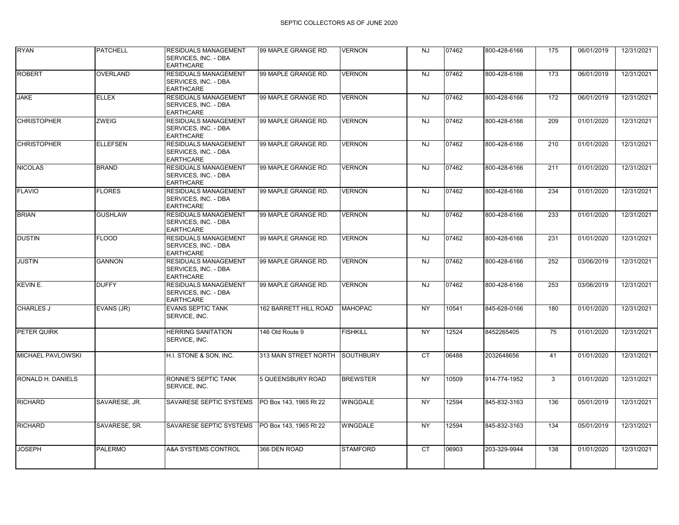| <b>RYAN</b>        | <b>PATCHELL</b> | RESIDUALS MANAGEMENT<br>SERVICES, INC. - DBA<br><b>EARTHCARE</b> | 99 MAPLE GRANGE RD.          | <b>VERNON</b>    | <b>NJ</b>      | 07462 | 800-428-6166 | 175 | 06/01/2019 | 12/31/2021 |
|--------------------|-----------------|------------------------------------------------------------------|------------------------------|------------------|----------------|-------|--------------|-----|------------|------------|
| <b>ROBERT</b>      | <b>OVERLAND</b> | RESIDUALS MANAGEMENT<br>SERVICES, INC. - DBA<br><b>EARTHCARE</b> | 99 MAPLE GRANGE RD.          | <b>VERNON</b>    | $\overline{N}$ | 07462 | 800-428-6166 | 173 | 06/01/2019 | 12/31/2021 |
| <b>JAKE</b>        | <b>ELLEX</b>    | RESIDUALS MANAGEMENT<br>SERVICES, INC. - DBA<br><b>EARTHCARE</b> | 99 MAPLE GRANGE RD.          | <b>VERNON</b>    | <b>NJ</b>      | 07462 | 800-428-6166 | 172 | 06/01/2019 | 12/31/2021 |
| <b>CHRISTOPHER</b> | ZWEIG           | RESIDUALS MANAGEMENT<br>SERVICES, INC. - DBA<br><b>EARTHCARE</b> | 99 MAPLE GRANGE RD.          | <b>VERNON</b>    | <b>NJ</b>      | 07462 | 800-428-6166 | 209 | 01/01/2020 | 12/31/2021 |
| <b>CHRISTOPHER</b> | <b>ELLEFSEN</b> | RESIDUALS MANAGEMENT<br>SERVICES. INC. - DBA<br><b>EARTHCARE</b> | 99 MAPLE GRANGE RD.          | <b>VERNON</b>    | NJ             | 07462 | 800-428-6166 | 210 | 01/01/2020 | 12/31/2021 |
| <b>NICOLAS</b>     | <b>BRAND</b>    | RESIDUALS MANAGEMENT<br>SERVICES, INC. - DBA<br><b>EARTHCARE</b> | 99 MAPLE GRANGE RD.          | <b>VERNON</b>    | <b>NJ</b>      | 07462 | 800-428-6166 | 211 | 01/01/2020 | 12/31/2021 |
| <b>FLAVIO</b>      | <b>FLORES</b>   | RESIDUALS MANAGEMENT<br>SERVICES, INC. - DBA<br><b>EARTHCARE</b> | 99 MAPLE GRANGE RD.          | <b>VERNON</b>    | <b>NJ</b>      | 07462 | 800-428-6166 | 234 | 01/01/2020 | 12/31/2021 |
| <b>BRIAN</b>       | <b>GUSHLAW</b>  | RESIDUALS MANAGEMENT<br>SERVICES, INC. - DBA<br><b>EARTHCARE</b> | 99 MAPLE GRANGE RD.          | <b>VERNON</b>    | <b>NJ</b>      | 07462 | 800-428-6166 | 233 | 01/01/2020 | 12/31/2021 |
| <b>DUSTIN</b>      | <b>FLOOD</b>    | RESIDUALS MANAGEMENT<br>SERVICES, INC. - DBA<br><b>EARTHCARE</b> | 99 MAPLE GRANGE RD.          | <b>VERNON</b>    | <b>NJ</b>      | 07462 | 800-428-6166 | 231 | 01/01/2020 | 12/31/2021 |
| <b>JUSTIN</b>      | <b>GANNON</b>   | RESIDUALS MANAGEMENT<br>SERVICES, INC. - DBA<br><b>EARTHCARE</b> | 99 MAPLE GRANGE RD.          | <b>VERNON</b>    | <b>NJ</b>      | 07462 | 800-428-6166 | 252 | 03/06/2019 | 12/31/2021 |
| KEVIN E.           | <b>DUFFY</b>    | RESIDUALS MANAGEMENT<br>SERVICES. INC. - DBA<br><b>EARTHCARE</b> | 99 MAPLE GRANGE RD.          | <b>VERNON</b>    | NJ             | 07462 | 800-428-6166 | 253 | 03/06/2019 | 12/31/2021 |
| <b>CHARLES J</b>   | EVANS (JR)      | <b>EVANS SEPTIC TANK</b><br>SERVICE, INC.                        | <b>162 BARRETT HILL ROAD</b> | <b>MAHOPAC</b>   | <b>NY</b>      | 10541 | 845-628-0166 | 180 | 01/01/2020 | 12/31/2021 |
| PETER QUIRK        |                 | <b>HERRING SANITATION</b><br>SERVICE, INC.                       | 146 Old Route 9              | <b>FISHKILL</b>  | <b>NY</b>      | 12524 | 8452265405   | 75  | 01/01/2020 | 12/31/2021 |
| MICHAEL PAVLOWSKI  |                 | H.I. STONE & SON, INC.                                           | 313 MAIN STREET NORTH        | <b>SOUTHBURY</b> | <b>CT</b>      | 06488 | 2032648656   | 41  | 01/01/2020 | 12/31/2021 |
| RONALD H. DANIELS  |                 | RONNIE'S SEPTIC TANK<br>SERVICE, INC.                            | 5 QUEENSBURY ROAD            | <b>BREWSTER</b>  | <b>NY</b>      | 10509 | 914-774-1952 | 3   | 01/01/2020 | 12/31/2021 |
| <b>RICHARD</b>     | SAVARESE, JR.   | SAVARESE SEPTIC SYSTEMS                                          | PO Box 143, 1965 Rt 22       | <b>WINGDALE</b>  | <b>NY</b>      | 12594 | 845-832-3163 | 136 | 05/01/2019 | 12/31/2021 |
| <b>RICHARD</b>     | SAVARESE, SR.   | SAVARESE SEPTIC SYSTEMS                                          | PO Box 143, 1965 Rt 22       | <b>WINGDALE</b>  | <b>NY</b>      | 12594 | 845-832-3163 | 134 | 05/01/2019 | 12/31/2021 |
| <b>JOSEPH</b>      | <b>PALERMO</b>  | A&A SYSTEMS CONTROL                                              | 366 DEN ROAD                 | <b>STAMFORD</b>  | <b>CT</b>      | 06903 | 203-329-9944 | 138 | 01/01/2020 | 12/31/2021 |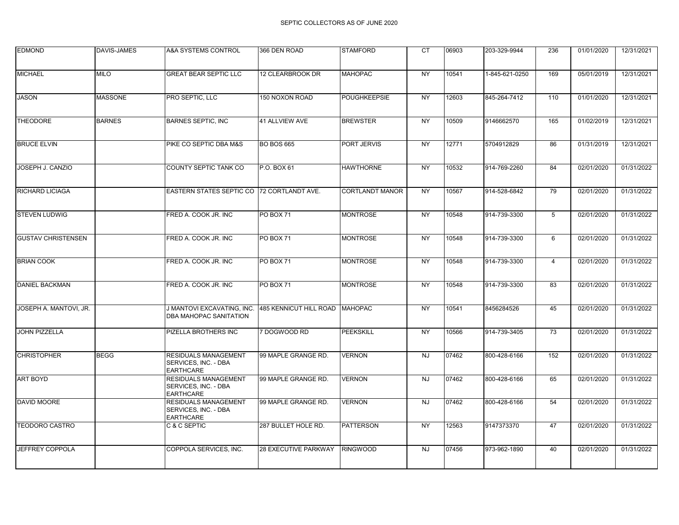| <b>EDMOND</b>             | <b>DAVIS-JAMES</b> | A&A SYSTEMS CONTROL                                                     | 366 DEN ROAD                | <b>STAMFORD</b>        | <b>CT</b>       | 06903 | 203-329-9944   | 236            | 01/01/2020 | 12/31/2021 |
|---------------------------|--------------------|-------------------------------------------------------------------------|-----------------------------|------------------------|-----------------|-------|----------------|----------------|------------|------------|
|                           |                    |                                                                         |                             |                        |                 |       |                |                |            |            |
| <b>MICHAEL</b>            | <b>MILO</b>        | <b>GREAT BEAR SEPTIC LLC</b>                                            | 12 CLEARBROOK DR            | <b>MAHOPAC</b>         | <b>NY</b>       | 10541 | 1-845-621-0250 | 169            | 05/01/2019 | 12/31/2021 |
| <b>JASON</b>              | <b>MASSONE</b>     | PRO SEPTIC, LLC                                                         | 150 NOXON ROAD              | <b>POUGHKEEPSIE</b>    | <b>NY</b>       | 12603 | 845-264-7412   | 110            | 01/01/2020 | 12/31/2021 |
| <b>THEODORE</b>           | <b>BARNES</b>      | <b>BARNES SEPTIC, INC</b>                                               | 41 ALLVIEW AVE              | <b>BREWSTER</b>        | <b>NY</b>       | 10509 | 9146662570     | 165            | 01/02/2019 | 12/31/2021 |
| <b>BRUCE ELVIN</b>        |                    | PIKE CO SEPTIC DBA M&S                                                  | <b>BO BOS 665</b>           | PORT JERVIS            | <b>NY</b>       | 12771 | 5704912829     | 86             | 01/31/2019 | 12/31/2021 |
| JOSEPH J. CANZIO          |                    | COUNTY SEPTIC TANK CO                                                   | P.O. BOX 61                 | <b>HAWTHORNE</b>       | <b>NY</b>       | 10532 | 914-769-2260   | 84             | 02/01/2020 | 01/31/2022 |
| <b>RICHARD LICIAGA</b>    |                    | EASTERN STATES SEPTIC CO 72 CORTLANDT AVE.                              |                             | <b>CORTLANDT MANOR</b> | <b>NY</b>       | 10567 | 914-528-6842   | 79             | 02/01/2020 | 01/31/2022 |
| <b>STEVEN LUDWIG</b>      |                    | FRED A. COOK JR. INC                                                    | <b>PO BOX 71</b>            | <b>MONTROSE</b>        | <b>NY</b>       | 10548 | 914-739-3300   | 5              | 02/01/2020 | 01/31/2022 |
| <b>GUSTAV CHRISTENSEN</b> |                    | FRED A. COOK JR. INC                                                    | <b>PO BOX 71</b>            | <b>MONTROSE</b>        | <b>NY</b>       | 10548 | 914-739-3300   | 6              | 02/01/2020 | 01/31/2022 |
| <b>BRIAN COOK</b>         |                    | FRED A. COOK JR. INC                                                    | <b>PO BOX 71</b>            | <b>MONTROSE</b>        | <b>NY</b>       | 10548 | 914-739-3300   | $\overline{4}$ | 02/01/2020 | 01/31/2022 |
| <b>DANIEL BACKMAN</b>     |                    | FRED A. COOK JR. INC                                                    | PO BOX 71                   | <b>MONTROSE</b>        | <b>NY</b>       | 10548 | 914-739-3300   | 83             | 02/01/2020 | 01/31/2022 |
| JOSEPH A. MANTOVI, JR.    |                    | J MANTOVI EXCAVATING, INC.<br>DBA MAHOPAC SANITATION                    | 485 KENNICUT HILL ROAD      | <b>MAHOPAC</b>         | <b>NY</b>       | 10541 | 8456284526     | 45             | 02/01/2020 | 01/31/2022 |
| <b>JOHN PIZZELLA</b>      |                    | PIZELLA BROTHERS INC                                                    | 7 DOGWOOD RD                | <b>PEEKSKILL</b>       | $\overline{NY}$ | 10566 | 914-739-3405   | 73             | 02/01/2020 | 01/31/2022 |
| <b>CHRISTOPHER</b>        | <b>BEGG</b>        | <b>RESIDUALS MANAGEMENT</b><br>SERVICES, INC. - DBA<br><b>EARTHCARE</b> | 99 MAPLE GRANGE RD.         | <b>VERNON</b>          | <b>NJ</b>       | 07462 | 800-428-6166   | 152            | 02/01/2020 | 01/31/2022 |
| <b>ART BOYD</b>           |                    | RESIDUALS MANAGEMENT<br>SERVICES, INC. - DBA<br><b>EARTHCARE</b>        | 99 MAPLE GRANGE RD.         | <b>VERNON</b>          | <b>NJ</b>       | 07462 | 800-428-6166   | 65             | 02/01/2020 | 01/31/2022 |
| <b>DAVID MOORE</b>        |                    | RESIDUALS MANAGEMENT<br>SERVICES, INC. - DBA<br><b>EARTHCARE</b>        | 99 MAPLE GRANGE RD.         | <b>VERNON</b>          | <b>NJ</b>       | 07462 | 800-428-6166   | 54             | 02/01/2020 | 01/31/2022 |
| <b>TEODORO CASTRO</b>     |                    | C & C SEPTIC                                                            | 287 BULLET HOLE RD.         | <b>PATTERSON</b>       | <b>NY</b>       | 12563 | 9147373370     | 47             | 02/01/2020 | 01/31/2022 |
| JEFFREY COPPOLA           |                    | COPPOLA SERVICES, INC.                                                  | <b>28 EXECUTIVE PARKWAY</b> | <b>RINGWOOD</b>        | NJ              | 07456 | 973-962-1890   | 40             | 02/01/2020 | 01/31/2022 |